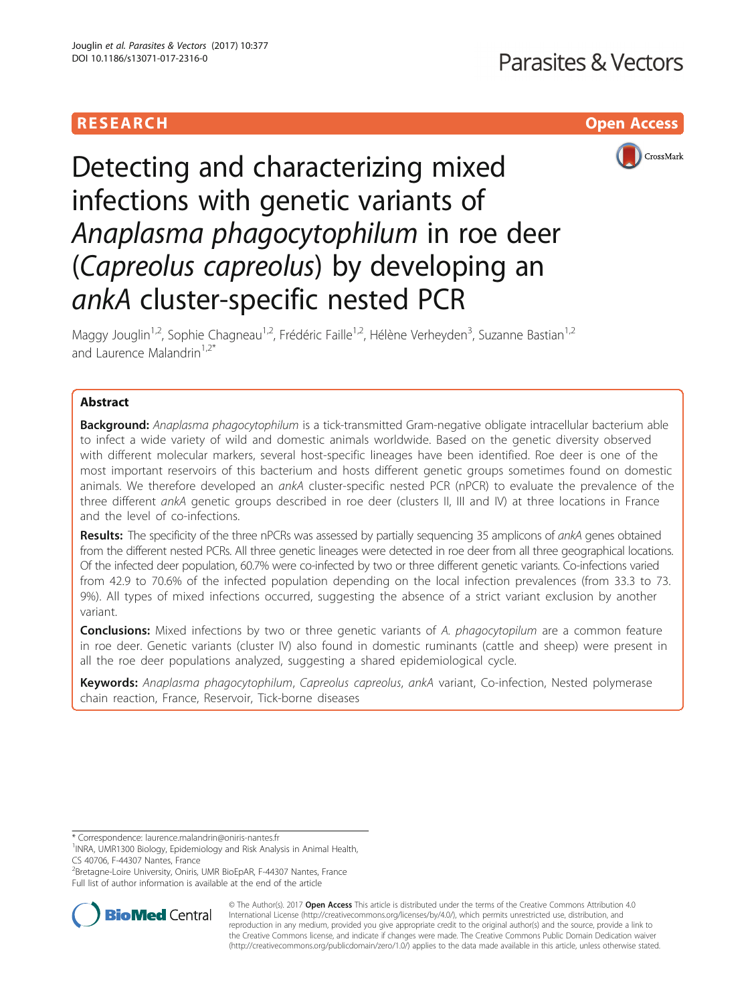# **RESEARCH CHILD CONTROL** CONTROL CONTROL CONTROL CONTROL CONTROL CONTROL CONTROL CONTROL CONTROL CONTROL CONTROL CONTROL CONTROL CONTROL CONTROL CONTROL CONTROL CONTROL CONTROL CONTROL CONTROL CONTROL CONTROL CONTROL CONTR



Detecting and characterizing mixed infections with genetic variants of Anaplasma phagocytophilum in roe deer (Capreolus capreolus) by developing an ankA cluster-specific nested PCR

Maggy Jouglin<sup>1,2</sup>, Sophie Chagneau<sup>1,2</sup>, Frédéric Faille<sup>1,2</sup>, Hélène Verheyden<sup>3</sup>, Suzanne Bastian<sup>1,2</sup> and Laurence Malandrin $1.2$ <sup>\*</sup>

# Abstract

Background: Anaplasma phagocytophilum is a tick-transmitted Gram-negative obligate intracellular bacterium able to infect a wide variety of wild and domestic animals worldwide. Based on the genetic diversity observed with different molecular markers, several host-specific lineages have been identified. Roe deer is one of the most important reservoirs of this bacterium and hosts different genetic groups sometimes found on domestic animals. We therefore developed an *ankA* cluster-specific nested PCR (nPCR) to evaluate the prevalence of the three different ankA genetic groups described in roe deer (clusters II, III and IV) at three locations in France and the level of co-infections.

**Results:** The specificity of the three nPCRs was assessed by partially sequencing 35 amplicons of ankA genes obtained from the different nested PCRs. All three genetic lineages were detected in roe deer from all three geographical locations. Of the infected deer population, 60.7% were co-infected by two or three different genetic variants. Co-infections varied from 42.9 to 70.6% of the infected population depending on the local infection prevalences (from 33.3 to 73. 9%). All types of mixed infections occurred, suggesting the absence of a strict variant exclusion by another variant.

**Conclusions:** Mixed infections by two or three genetic variants of A. phagocytopilum are a common feature in roe deer. Genetic variants (cluster IV) also found in domestic ruminants (cattle and sheep) were present in all the roe deer populations analyzed, suggesting a shared epidemiological cycle.

Keywords: Anaplasma phagocytophilum, Capreolus capreolus, ankA variant, Co-infection, Nested polymerase chain reaction, France, Reservoir, Tick-borne diseases

\* Correspondence: [laurence.malandrin@oniris-nantes.fr](mailto:laurence.malandrin@oniris-nantes.fr) <sup>1</sup>

<sup>2</sup> Bretagne-Loire University, Oniris, UMR BioEpAR, F-44307 Nantes, France Full list of author information is available at the end of the article



© The Author(s). 2017 **Open Access** This article is distributed under the terms of the Creative Commons Attribution 4.0 International License [\(http://creativecommons.org/licenses/by/4.0/](http://creativecommons.org/licenses/by/4.0/)), which permits unrestricted use, distribution, and reproduction in any medium, provided you give appropriate credit to the original author(s) and the source, provide a link to the Creative Commons license, and indicate if changes were made. The Creative Commons Public Domain Dedication waiver [\(http://creativecommons.org/publicdomain/zero/1.0/](http://creativecommons.org/publicdomain/zero/1.0/)) applies to the data made available in this article, unless otherwise stated.

<sup>&</sup>lt;sup>1</sup>INRA, UMR1300 Biology, Epidemiology and Risk Analysis in Animal Health, CS 40706, F-44307 Nantes, France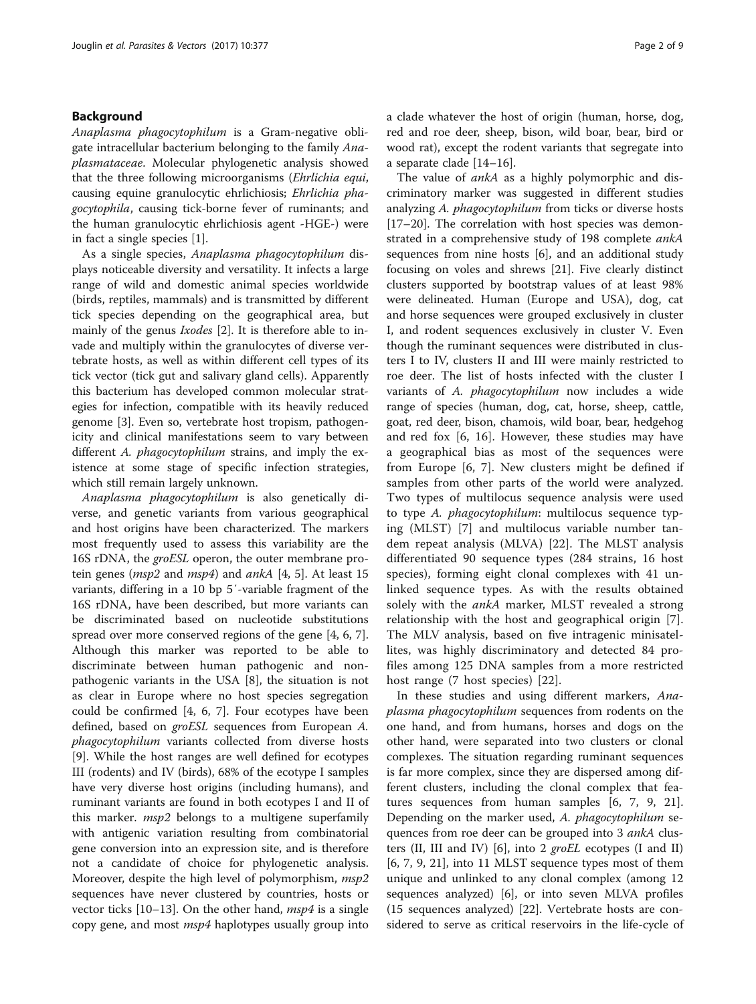# Background

Anaplasma phagocytophilum is a Gram-negative obligate intracellular bacterium belonging to the family Anaplasmataceae. Molecular phylogenetic analysis showed that the three following microorganisms (Ehrlichia equi, causing equine granulocytic ehrlichiosis; Ehrlichia phagocytophila, causing tick-borne fever of ruminants; and the human granulocytic ehrlichiosis agent -HGE-) were in fact a single species [[1\]](#page-7-0).

As a single species, Anaplasma phagocytophilum displays noticeable diversity and versatility. It infects a large range of wild and domestic animal species worldwide (birds, reptiles, mammals) and is transmitted by different tick species depending on the geographical area, but mainly of the genus *Ixodes* [\[2\]](#page-7-0). It is therefore able to invade and multiply within the granulocytes of diverse vertebrate hosts, as well as within different cell types of its tick vector (tick gut and salivary gland cells). Apparently this bacterium has developed common molecular strategies for infection, compatible with its heavily reduced genome [[3](#page-7-0)]. Even so, vertebrate host tropism, pathogenicity and clinical manifestations seem to vary between different A. *phagocytophilum* strains, and imply the existence at some stage of specific infection strategies, which still remain largely unknown.

Anaplasma phagocytophilum is also genetically diverse, and genetic variants from various geographical and host origins have been characterized. The markers most frequently used to assess this variability are the 16S rDNA, the groESL operon, the outer membrane protein genes ( $msp2$  and  $msp4$ ) and  $ankA$  [[4, 5](#page-7-0)]. At least 15 variants, differing in a 10 bp 5′-variable fragment of the 16S rDNA, have been described, but more variants can be discriminated based on nucleotide substitutions spread over more conserved regions of the gene [\[4](#page-7-0), [6](#page-8-0), [7](#page-8-0)]. Although this marker was reported to be able to discriminate between human pathogenic and nonpathogenic variants in the USA [\[8](#page-8-0)], the situation is not as clear in Europe where no host species segregation could be confirmed [\[4](#page-7-0), [6, 7](#page-8-0)]. Four ecotypes have been defined, based on groESL sequences from European A. phagocytophilum variants collected from diverse hosts [[9\]](#page-8-0). While the host ranges are well defined for ecotypes III (rodents) and IV (birds), 68% of the ecotype I samples have very diverse host origins (including humans), and ruminant variants are found in both ecotypes I and II of this marker. msp2 belongs to a multigene superfamily with antigenic variation resulting from combinatorial gene conversion into an expression site, and is therefore not a candidate of choice for phylogenetic analysis. Moreover, despite the high level of polymorphism,  $msp2$ sequences have never clustered by countries, hosts or vector ticks [\[10](#page-8-0)–[13\]](#page-8-0). On the other hand,  $msp4$  is a single copy gene, and most *msp4* haplotypes usually group into a clade whatever the host of origin (human, horse, dog, red and roe deer, sheep, bison, wild boar, bear, bird or wood rat), except the rodent variants that segregate into a separate clade [[14](#page-8-0)–[16](#page-8-0)].

The value of ankA as a highly polymorphic and discriminatory marker was suggested in different studies analyzing A. *phagocytophilum* from ticks or diverse hosts [[17](#page-8-0)–[20](#page-8-0)]. The correlation with host species was demonstrated in a comprehensive study of 198 complete ankA sequences from nine hosts [\[6](#page-8-0)], and an additional study focusing on voles and shrews [\[21](#page-8-0)]. Five clearly distinct clusters supported by bootstrap values of at least 98% were delineated. Human (Europe and USA), dog, cat and horse sequences were grouped exclusively in cluster I, and rodent sequences exclusively in cluster V. Even though the ruminant sequences were distributed in clusters I to IV, clusters II and III were mainly restricted to roe deer. The list of hosts infected with the cluster I variants of A. phagocytophilum now includes a wide range of species (human, dog, cat, horse, sheep, cattle, goat, red deer, bison, chamois, wild boar, bear, hedgehog and red fox [[6, 16\]](#page-8-0). However, these studies may have a geographical bias as most of the sequences were from Europe [\[6](#page-8-0), [7](#page-8-0)]. New clusters might be defined if samples from other parts of the world were analyzed. Two types of multilocus sequence analysis were used to type A. phagocytophilum: multilocus sequence typing (MLST) [\[7](#page-8-0)] and multilocus variable number tandem repeat analysis (MLVA) [[22\]](#page-8-0). The MLST analysis differentiated 90 sequence types (284 strains, 16 host species), forming eight clonal complexes with 41 unlinked sequence types. As with the results obtained solely with the *ankA* marker, MLST revealed a strong relationship with the host and geographical origin [\[7](#page-8-0)]. The MLV analysis, based on five intragenic minisatellites, was highly discriminatory and detected 84 profiles among 125 DNA samples from a more restricted host range (7 host species) [[22\]](#page-8-0).

In these studies and using different markers, Anaplasma phagocytophilum sequences from rodents on the one hand, and from humans, horses and dogs on the other hand, were separated into two clusters or clonal complexes. The situation regarding ruminant sequences is far more complex, since they are dispersed among different clusters, including the clonal complex that features sequences from human samples [[6, 7](#page-8-0), [9, 21](#page-8-0)]. Depending on the marker used, A. phagocytophilum sequences from roe deer can be grouped into 3 ankA clus-ters (II, III and IV) [[6\]](#page-8-0), into 2 groEL ecotypes (I and II) [[6, 7](#page-8-0), [9](#page-8-0), [21](#page-8-0)], into 11 MLST sequence types most of them unique and unlinked to any clonal complex (among 12 sequences analyzed) [[6\]](#page-8-0), or into seven MLVA profiles (15 sequences analyzed) [\[22\]](#page-8-0). Vertebrate hosts are considered to serve as critical reservoirs in the life-cycle of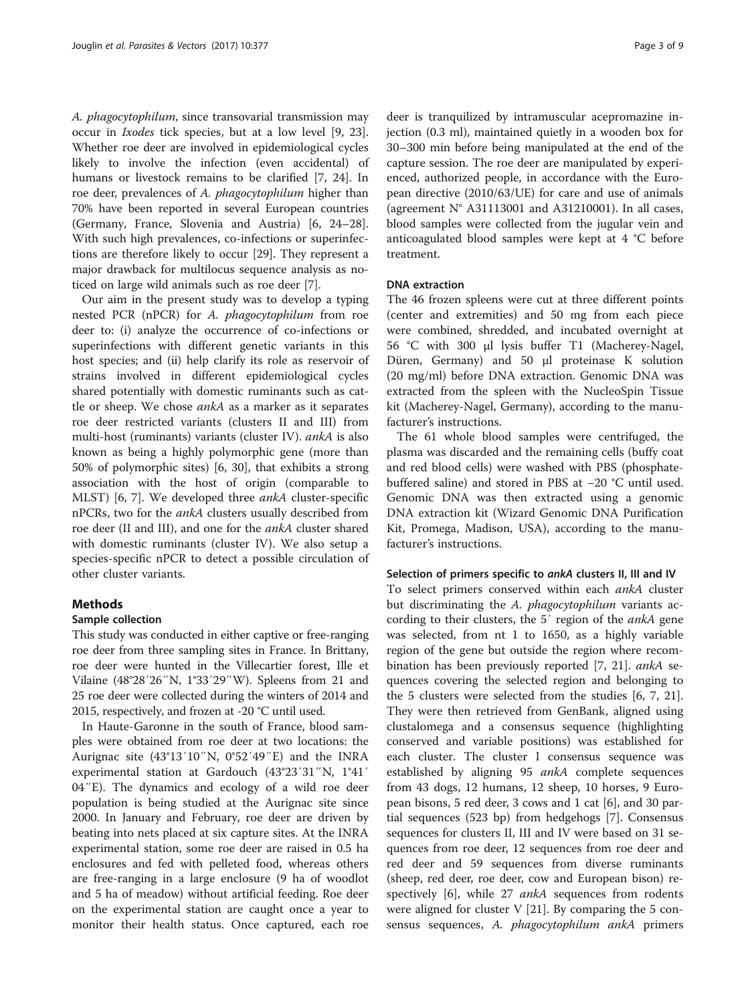A. phagocytophilum, since transovarial transmission may occur in Ixodes tick species, but at a low level [\[9, 23](#page-8-0)]. Whether roe deer are involved in epidemiological cycles likely to involve the infection (even accidental) of humans or livestock remains to be clarified [[7, 24](#page-8-0)]. In roe deer, prevalences of A. phagocytophilum higher than 70% have been reported in several European countries (Germany, France, Slovenia and Austria) [\[6](#page-8-0), [24](#page-8-0)–[28](#page-8-0)]. With such high prevalences, co-infections or superinfections are therefore likely to occur [\[29](#page-8-0)]. They represent a major drawback for multilocus sequence analysis as noticed on large wild animals such as roe deer [[7\]](#page-8-0).

Our aim in the present study was to develop a typing nested PCR (nPCR) for A. phagocytophilum from roe deer to: (i) analyze the occurrence of co-infections or superinfections with different genetic variants in this host species; and (ii) help clarify its role as reservoir of strains involved in different epidemiological cycles shared potentially with domestic ruminants such as cattle or sheep. We chose ankA as a marker as it separates roe deer restricted variants (clusters II and III) from multi-host (ruminants) variants (cluster IV). ankA is also known as being a highly polymorphic gene (more than 50% of polymorphic sites) [[6, 30](#page-8-0)], that exhibits a strong association with the host of origin (comparable to MLST) [[6, 7\]](#page-8-0). We developed three ankA cluster-specific nPCRs, two for the ankA clusters usually described from roe deer (II and III), and one for the *ankA* cluster shared with domestic ruminants (cluster IV). We also setup a species-specific nPCR to detect a possible circulation of other cluster variants.

# Methods

#### Sample collection

This study was conducted in either captive or free-ranging roe deer from three sampling sites in France. In Brittany, roe deer were hunted in the Villecartier forest, Ille et Vilaine (48°28′26″N, 1°33′29″W). Spleens from 21 and 25 roe deer were collected during the winters of 2014 and 2015, respectively, and frozen at -20 °C until used.

In Haute-Garonne in the south of France, blood samples were obtained from roe deer at two locations: the Aurignac site (43°13′10″N, 0°52′49″E) and the INRA experimental station at Gardouch (43°23′31″N, 1°41′ 04″E). The dynamics and ecology of a wild roe deer population is being studied at the Aurignac site since 2000. In January and February, roe deer are driven by beating into nets placed at six capture sites. At the INRA experimental station, some roe deer are raised in 0.5 ha enclosures and fed with pelleted food, whereas others are free-ranging in a large enclosure (9 ha of woodlot and 5 ha of meadow) without artificial feeding. Roe deer on the experimental station are caught once a year to monitor their health status. Once captured, each roe

deer is tranquilized by intramuscular acepromazine injection (0.3 ml), maintained quietly in a wooden box for 30–300 min before being manipulated at the end of the capture session. The roe deer are manipulated by experienced, authorized people, in accordance with the European directive (2010/63/UE) for care and use of animals (agreement N° A31113001 and A31210001). In all cases, blood samples were collected from the jugular vein and anticoagulated blood samples were kept at 4 °C before treatment.

### DNA extraction

The 46 frozen spleens were cut at three different points (center and extremities) and 50 mg from each piece were combined, shredded, and incubated overnight at 56 °C with 300 μl lysis buffer T1 (Macherey-Nagel, Düren, Germany) and 50 μl proteinase K solution (20 mg/ml) before DNA extraction. Genomic DNA was extracted from the spleen with the NucleoSpin Tissue kit (Macherey-Nagel, Germany), according to the manufacturer's instructions.

The 61 whole blood samples were centrifuged, the plasma was discarded and the remaining cells (buffy coat and red blood cells) were washed with PBS (phosphatebuffered saline) and stored in PBS at −20 °C until used. Genomic DNA was then extracted using a genomic DNA extraction kit (Wizard Genomic DNA Purification Kit, Promega, Madison, USA), according to the manufacturer's instructions.

### Selection of primers specific to ankA clusters II, III and IV

To select primers conserved within each ankA cluster but discriminating the A. phagocytophilum variants according to their clusters, the 5' region of the ankA gene was selected, from nt 1 to 1650, as a highly variable region of the gene but outside the region where recom-bination has been previously reported [\[7, 21\]](#page-8-0). ankA sequences covering the selected region and belonging to the 5 clusters were selected from the studies [\[6](#page-8-0), [7](#page-8-0), [21](#page-8-0)]. They were then retrieved from GenBank, aligned using clustalomega and a consensus sequence (highlighting conserved and variable positions) was established for each cluster. The cluster I consensus sequence was established by aligning 95 *ankA* complete sequences from 43 dogs, 12 humans, 12 sheep, 10 horses, 9 European bisons, 5 red deer, 3 cows and 1 cat [\[6](#page-8-0)], and 30 partial sequences (523 bp) from hedgehogs [[7](#page-8-0)]. Consensus sequences for clusters II, III and IV were based on 31 sequences from roe deer, 12 sequences from roe deer and red deer and 59 sequences from diverse ruminants (sheep, red deer, roe deer, cow and European bison) re-spectively [[6](#page-8-0)], while 27 ankA sequences from rodents were aligned for cluster  $V$  [[21\]](#page-8-0). By comparing the 5 consensus sequences, A. phagocytophilum ankA primers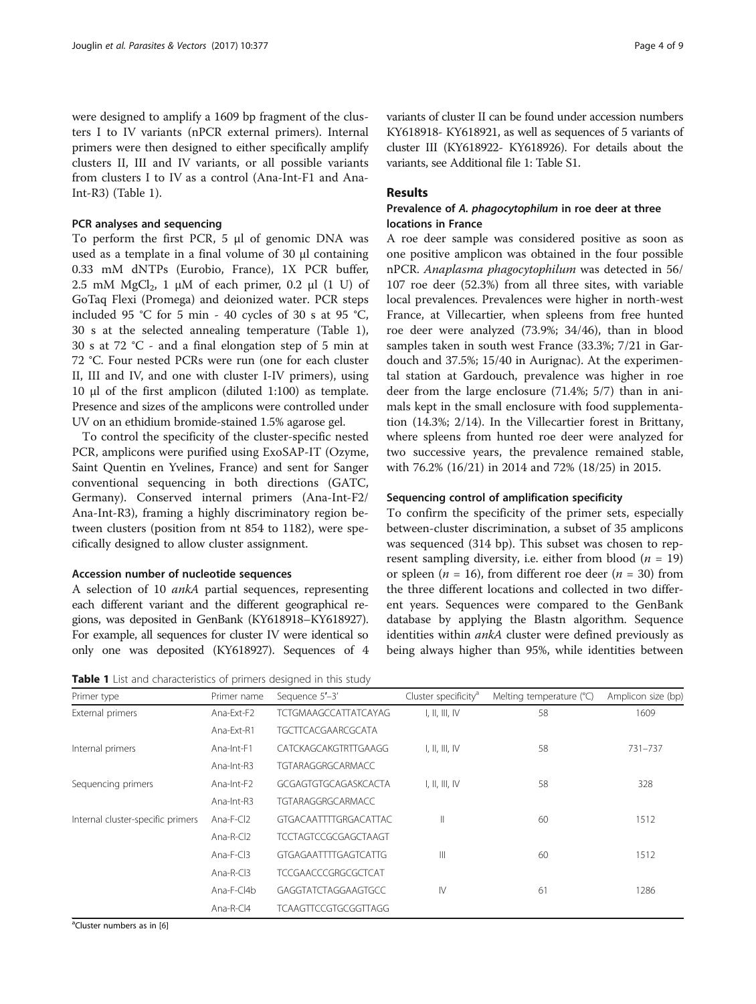were designed to amplify a 1609 bp fragment of the clusters I to IV variants (nPCR external primers). Internal primers were then designed to either specifically amplify clusters II, III and IV variants, or all possible variants from clusters I to IV as a control (Ana-Int-F1 and Ana-Int-R3) (Table 1).

### PCR analyses and sequencing

To perform the first PCR, 5 μl of genomic DNA was used as a template in a final volume of 30 μl containing 0.33 mM dNTPs (Eurobio, France), 1X PCR buffer, 2.5 mM MgCl<sub>2</sub>, 1 μM of each primer, 0.2 μl (1 U) of GoTaq Flexi (Promega) and deionized water. PCR steps included 95 °C for 5 min - 40 cycles of 30 s at 95 °C, 30 s at the selected annealing temperature (Table 1), 30 s at 72 °C - and a final elongation step of 5 min at 72 °C. Four nested PCRs were run (one for each cluster II, III and IV, and one with cluster I-IV primers), using 10 μl of the first amplicon (diluted 1:100) as template. Presence and sizes of the amplicons were controlled under UV on an ethidium bromide-stained 1.5% agarose gel.

To control the specificity of the cluster-specific nested PCR, amplicons were purified using ExoSAP-IT (Ozyme, Saint Quentin en Yvelines, France) and sent for Sanger conventional sequencing in both directions (GATC, Germany). Conserved internal primers (Ana-Int-F2/ Ana-Int-R3), framing a highly discriminatory region between clusters (position from nt 854 to 1182), were specifically designed to allow cluster assignment.

# Accession number of nucleotide sequences

A selection of 10 ankA partial sequences, representing each different variant and the different geographical regions, was deposited in GenBank (KY618918–KY618927). For example, all sequences for cluster IV were identical so only one was deposited (KY618927). Sequences of 4

Table 1 List and characteristics of primers designed in this study

variants of cluster II can be found under accession numbers KY618918- KY618921, as well as sequences of 5 variants of cluster III (KY618922- KY618926). For details about the variants, see Additional file [1:](#page-7-0) Table S1.

# Results

# Prevalence of A. phagocytophilum in roe deer at three locations in France

A roe deer sample was considered positive as soon as one positive amplicon was obtained in the four possible nPCR. Anaplasma phagocytophilum was detected in 56/ 107 roe deer (52.3%) from all three sites, with variable local prevalences. Prevalences were higher in north-west France, at Villecartier, when spleens from free hunted roe deer were analyzed (73.9%; 34/46), than in blood samples taken in south west France (33.3%; 7/21 in Gardouch and 37.5%; 15/40 in Aurignac). At the experimental station at Gardouch, prevalence was higher in roe deer from the large enclosure (71.4%; 5/7) than in animals kept in the small enclosure with food supplementation (14.3%; 2/14). In the Villecartier forest in Brittany, where spleens from hunted roe deer were analyzed for two successive years, the prevalence remained stable, with 76.2% (16/21) in 2014 and 72% (18/25) in 2015.

### Sequencing control of amplification specificity

To confirm the specificity of the primer sets, especially between-cluster discrimination, a subset of 35 amplicons was sequenced (314 bp). This subset was chosen to represent sampling diversity, i.e. either from blood ( $n = 19$ ) or spleen ( $n = 16$ ), from different roe deer ( $n = 30$ ) from the three different locations and collected in two different years. Sequences were compared to the GenBank database by applying the Blastn algorithm. Sequence identities within *ankA* cluster were defined previously as being always higher than 95%, while identities between

| Primer type                       | Primer name | Sequence 5'-3'               | Cluster specificity <sup>a</sup> | Melting temperature (°C) | Amplicon size (bp) |
|-----------------------------------|-------------|------------------------------|----------------------------------|--------------------------|--------------------|
| External primers                  | Ana-Ext-F2  | <b>TCTGMAAGCCATTATCAYAG</b>  | I, II, III, IV                   | 58                       | 1609               |
|                                   | Ana-Ext-R1  | <b>TGCTTCACGAARCGCATA</b>    |                                  |                          |                    |
| Internal primers                  | Ana-Int-F1  | CATCKAGCAKGTRTTGAAGG         | I, II, III, IV                   | 58                       | 731-737            |
|                                   | Ana-Int-R3  | <b>TGTARAGGRGCARMACC</b>     |                                  |                          |                    |
| Sequencing primers                | Ana-Int-F2  | GCGAGTGTGCAGASKCACTA         | I, II, III, IV                   | 58                       | 328                |
|                                   | Ana-Int-R3  | TGTARAGGRGCARMACC            |                                  |                          |                    |
| Internal cluster-specific primers | Ana-F-Cl2   | <b>GTGACAATTTTGRGACATTAC</b> | $\mathbf{  }$                    | 60                       | 1512               |
|                                   | Ana-R-Cl2   | <b>TCCTAGTCCGCGAGCTAAGT</b>  |                                  |                          |                    |
|                                   | Ana-F-Cl3   | <b>GTGAGAATTTTGAGTCATTG</b>  | $\mathsf{III}$                   | 60                       | 1512               |
|                                   | Ana-R-Cl3   | <b>TCCGAACCCGRGCGCTCAT</b>   |                                  |                          |                    |
|                                   | Ana-F-Cl4b  | GAGGTATCTAGGAAGTGCC          | $\mathsf{IV}$                    | 61                       | 1286               |
|                                   | Ana-R-Cl4   | <b>TCAAGTTCCGTGCGGTTAGG</b>  |                                  |                          |                    |

<sup>a</sup>Cluster numbers as in [\[6](#page-8-0)]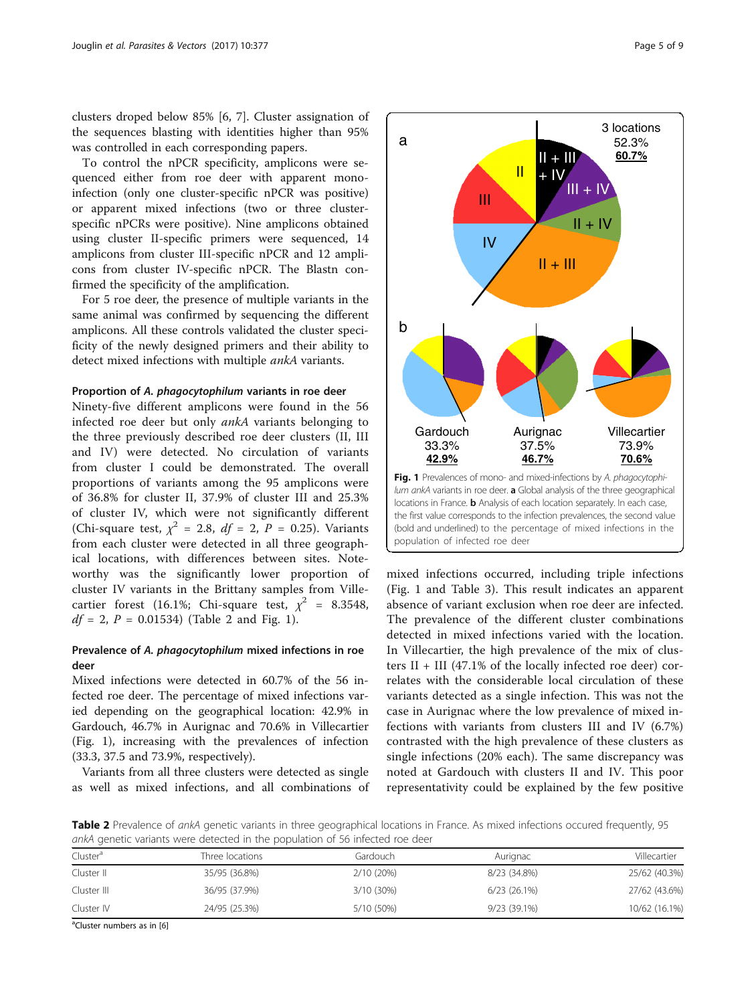clusters droped below 85% [\[6](#page-8-0), [7](#page-8-0)]. Cluster assignation of the sequences blasting with identities higher than 95% was controlled in each corresponding papers.

To control the nPCR specificity, amplicons were sequenced either from roe deer with apparent monoinfection (only one cluster-specific nPCR was positive) or apparent mixed infections (two or three clusterspecific nPCRs were positive). Nine amplicons obtained using cluster II-specific primers were sequenced, 14 amplicons from cluster III-specific nPCR and 12 amplicons from cluster IV-specific nPCR. The Blastn confirmed the specificity of the amplification.

For 5 roe deer, the presence of multiple variants in the same animal was confirmed by sequencing the different amplicons. All these controls validated the cluster specificity of the newly designed primers and their ability to detect mixed infections with multiple ankA variants.

### Proportion of A. phagocytophilum variants in roe deer

Ninety-five different amplicons were found in the 56 infected roe deer but only ankA variants belonging to the three previously described roe deer clusters (II, III and IV) were detected. No circulation of variants from cluster I could be demonstrated. The overall proportions of variants among the 95 amplicons were of 36.8% for cluster II, 37.9% of cluster III and 25.3% of cluster IV, which were not significantly different (Chi-square test,  $\chi^2$  = 2.8,  $df = 2$ ,  $P = 0.25$ ). Variants from each cluster were detected in all three geographical locations, with differences between sites. Noteworthy was the significantly lower proportion of cluster IV variants in the Brittany samples from Villecartier forest (16.1%; Chi-square test,  $\chi^2$  = 8.3548,  $df = 2$ ,  $P = 0.01534$ ) (Table 2 and Fig. 1).

# Prevalence of A. phagocytophilum mixed infections in roe deer

Mixed infections were detected in 60.7% of the 56 infected roe deer. The percentage of mixed infections varied depending on the geographical location: 42.9% in Gardouch, 46.7% in Aurignac and 70.6% in Villecartier (Fig. 1), increasing with the prevalences of infection (33.3, 37.5 and 73.9%, respectively).

Variants from all three clusters were detected as single as well as mixed infections, and all combinations of



 $\mathbf{I}$ 

a

 $II + III$ + IV

mixed infections occurred, including triple infections (Fig. 1 and Table [3](#page-5-0)). This result indicates an apparent absence of variant exclusion when roe deer are infected. The prevalence of the different cluster combinations detected in mixed infections varied with the location. In Villecartier, the high prevalence of the mix of clusters II + III (47.1% of the locally infected roe deer) correlates with the considerable local circulation of these variants detected as a single infection. This was not the case in Aurignac where the low prevalence of mixed infections with variants from clusters III and IV (6.7%) contrasted with the high prevalence of these clusters as single infections (20% each). The same discrepancy was noted at Gardouch with clusters II and IV. This poor representativity could be explained by the few positive

Table 2 Prevalence of ankA genetic variants in three geographical locations in France. As mixed infections occured frequently, 95 ankA genetic variants were detected in the population of 56 infected roe deer

| Cluster <sup>a</sup> | Three locations | Gardouch . | Aurignac          | Villecartier  |
|----------------------|-----------------|------------|-------------------|---------------|
| Cluster II           | 35/95 (36.8%)   | 2/10 (20%) | 8/23 (34.8%)      | 25/62 (40.3%) |
| Cluster III          | 36/95 (37.9%)   | 3/10 (30%) | $6/23$ $(26.1\%)$ | 27/62 (43.6%) |
| Cluster IV           | 24/95 (25.3%)   | 5/10 (50%) | $9/23(39.1\%)$    | 10/62 (16.1%) |
|                      |                 |            |                   |               |

<sup>a</sup>Cluster numbers as in [\[6](#page-8-0)]

3 locations 52.3% **60.7%**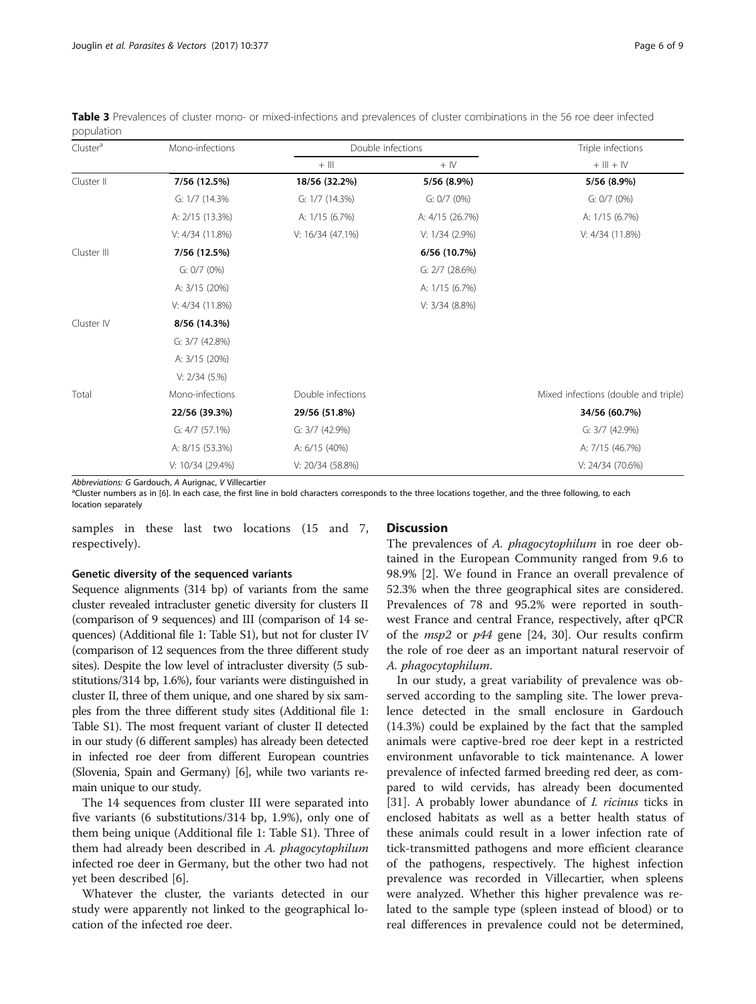| Cluster <sup>a</sup> | Mono-infections  | Double infections |                  | Triple infections                    |  |
|----------------------|------------------|-------------------|------------------|--------------------------------------|--|
|                      |                  | $+$ $   $         | $+IV$            | $+$ III + IV                         |  |
| Cluster II           | 7/56 (12.5%)     | 18/56 (32.2%)     | 5/56 (8.9%)      | 5/56 (8.9%)                          |  |
|                      | G: 1/7 (14.3%)   | G: $1/7$ (14.3%)  | $G: 0/7$ (0%)    | $G: 0/7$ (0%)                        |  |
|                      | A: 2/15 (13.3%)  | A: $1/15$ (6.7%)  | A: 4/15 (26.7%)  | A: $1/15$ (6.7%)                     |  |
|                      | V: 4/34 (11.8%)  | V: 16/34 (47.1%)  | V: 1/34 (2.9%)   | V: 4/34 (11.8%)                      |  |
| Cluster III          | 7/56 (12.5%)     |                   | 6/56 (10.7%)     |                                      |  |
|                      | G: $0/7$ (0%)    |                   | G: $2/7$ (28.6%) |                                      |  |
|                      | A: 3/15 (20%)    |                   | A: $1/15$ (6.7%) |                                      |  |
|                      | V: 4/34 (11.8%)  |                   | V: 3/34 (8.8%)   |                                      |  |
| Cluster IV           | 8/56 (14.3%)     |                   |                  |                                      |  |
|                      | G: 3/7 (42.8%)   |                   |                  |                                      |  |
|                      | A: 3/15 (20%)    |                   |                  |                                      |  |
|                      | V: 2/34 (5.%)    |                   |                  |                                      |  |
| Total                | Mono-infections  | Double infections |                  | Mixed infections (double and triple) |  |
|                      | 22/56 (39.3%)    | 29/56 (51.8%)     |                  | 34/56 (60.7%)                        |  |
|                      | G: $4/7$ (57.1%) | G: 3/7 (42.9%)    |                  | G: 3/7 (42.9%)                       |  |
|                      | A: 8/15 (53.3%)  | A: 6/15 (40%)     |                  | A: 7/15 (46.7%)                      |  |
|                      | V: 10/34 (29.4%) | V: 20/34 (58.8%)  |                  | V: 24/34 (70.6%)                     |  |

<span id="page-5-0"></span>Table 3 Prevalences of cluster mono- or mixed-infections and prevalences of cluster combinations in the 56 roe deer infected population

Abbreviations: G Gardouch, A Aurignac, V Villecartier

<sup>a</sup>Cluster numbers as in [\[6](#page-8-0)]. In each case, the first line in bold characters corresponds to the three locations together, and the three following, to each location separately

samples in these last two locations (15 and 7, respectively).

### Genetic diversity of the sequenced variants

Sequence alignments (314 bp) of variants from the same cluster revealed intracluster genetic diversity for clusters II (comparison of 9 sequences) and III (comparison of 14 sequences) (Additional file [1](#page-7-0): Table S1), but not for cluster IV (comparison of 12 sequences from the three different study sites). Despite the low level of intracluster diversity (5 substitutions/314 bp, 1.6%), four variants were distinguished in cluster II, three of them unique, and one shared by six samples from the three different study sites (Additional file [1](#page-7-0): Table S1). The most frequent variant of cluster II detected in our study (6 different samples) has already been detected in infected roe deer from different European countries (Slovenia, Spain and Germany) [\[6\]](#page-8-0), while two variants remain unique to our study.

The 14 sequences from cluster III were separated into five variants (6 substitutions/314 bp, 1.9%), only one of them being unique (Additional file [1:](#page-7-0) Table S1). Three of them had already been described in A. phagocytophilum infected roe deer in Germany, but the other two had not yet been described [[6\]](#page-8-0).

Whatever the cluster, the variants detected in our study were apparently not linked to the geographical location of the infected roe deer.

#### **Discussion**

The prevalences of A. *phagocytophilum* in roe deer obtained in the European Community ranged from 9.6 to 98.9% [\[2](#page-7-0)]. We found in France an overall prevalence of 52.3% when the three geographical sites are considered. Prevalences of 78 and 95.2% were reported in southwest France and central France, respectively, after qPCR of the  $msp2$  or  $p44$  gene [[24](#page-8-0), [30\]](#page-8-0). Our results confirm the role of roe deer as an important natural reservoir of A. phagocytophilum.

In our study, a great variability of prevalence was observed according to the sampling site. The lower prevalence detected in the small enclosure in Gardouch (14.3%) could be explained by the fact that the sampled animals were captive-bred roe deer kept in a restricted environment unfavorable to tick maintenance. A lower prevalence of infected farmed breeding red deer, as compared to wild cervids, has already been documented [[31\]](#page-8-0). A probably lower abundance of *I. ricinus* ticks in enclosed habitats as well as a better health status of these animals could result in a lower infection rate of tick-transmitted pathogens and more efficient clearance of the pathogens, respectively. The highest infection prevalence was recorded in Villecartier, when spleens were analyzed. Whether this higher prevalence was related to the sample type (spleen instead of blood) or to real differences in prevalence could not be determined,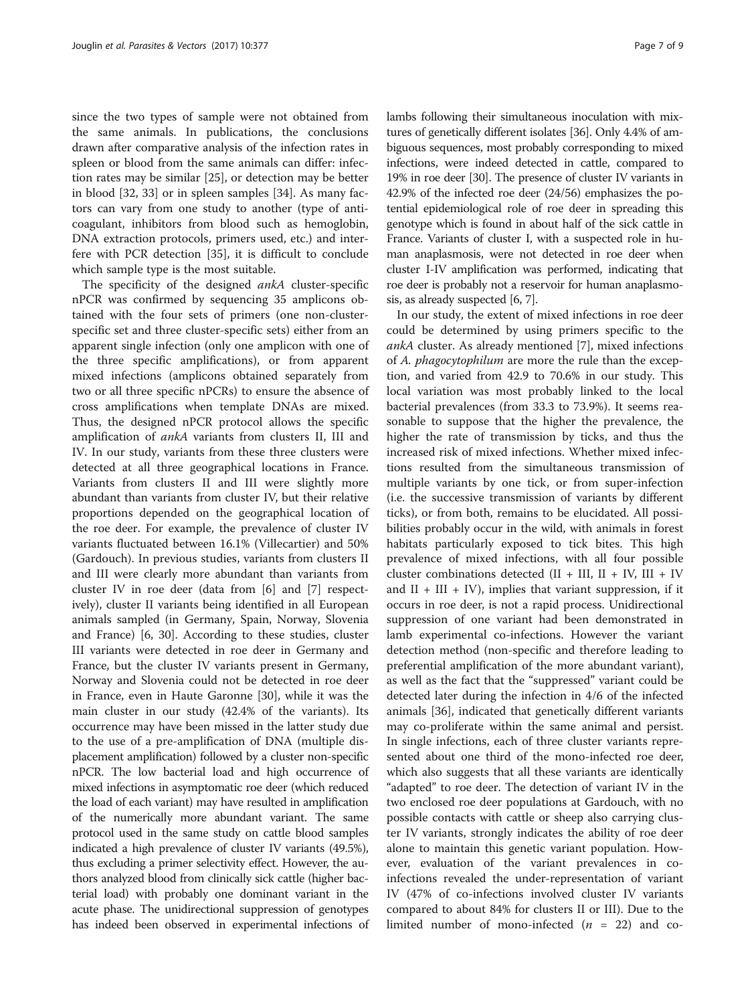since the two types of sample were not obtained from the same animals. In publications, the conclusions drawn after comparative analysis of the infection rates in spleen or blood from the same animals can differ: infection rates may be similar [[25\]](#page-8-0), or detection may be better in blood [[32, 33\]](#page-8-0) or in spleen samples [\[34\]](#page-8-0). As many factors can vary from one study to another (type of anticoagulant, inhibitors from blood such as hemoglobin, DNA extraction protocols, primers used, etc.) and interfere with PCR detection [[35\]](#page-8-0), it is difficult to conclude which sample type is the most suitable.

The specificity of the designed *ankA* cluster-specific nPCR was confirmed by sequencing 35 amplicons obtained with the four sets of primers (one non-clusterspecific set and three cluster-specific sets) either from an apparent single infection (only one amplicon with one of the three specific amplifications), or from apparent mixed infections (amplicons obtained separately from two or all three specific nPCRs) to ensure the absence of cross amplifications when template DNAs are mixed. Thus, the designed nPCR protocol allows the specific amplification of ankA variants from clusters II, III and IV. In our study, variants from these three clusters were detected at all three geographical locations in France. Variants from clusters II and III were slightly more abundant than variants from cluster IV, but their relative proportions depended on the geographical location of the roe deer. For example, the prevalence of cluster IV variants fluctuated between 16.1% (Villecartier) and 50% (Gardouch). In previous studies, variants from clusters II and III were clearly more abundant than variants from cluster IV in roe deer (data from [\[6](#page-8-0)] and [\[7](#page-8-0)] respectively), cluster II variants being identified in all European animals sampled (in Germany, Spain, Norway, Slovenia and France) [[6, 30\]](#page-8-0). According to these studies, cluster III variants were detected in roe deer in Germany and France, but the cluster IV variants present in Germany, Norway and Slovenia could not be detected in roe deer in France, even in Haute Garonne [[30\]](#page-8-0), while it was the main cluster in our study (42.4% of the variants). Its occurrence may have been missed in the latter study due to the use of a pre-amplification of DNA (multiple displacement amplification) followed by a cluster non-specific nPCR. The low bacterial load and high occurrence of mixed infections in asymptomatic roe deer (which reduced the load of each variant) may have resulted in amplification of the numerically more abundant variant. The same protocol used in the same study on cattle blood samples indicated a high prevalence of cluster IV variants (49.5%), thus excluding a primer selectivity effect. However, the authors analyzed blood from clinically sick cattle (higher bacterial load) with probably one dominant variant in the acute phase. The unidirectional suppression of genotypes has indeed been observed in experimental infections of lambs following their simultaneous inoculation with mixtures of genetically different isolates [\[36](#page-8-0)]. Only 4.4% of ambiguous sequences, most probably corresponding to mixed infections, were indeed detected in cattle, compared to 19% in roe deer [[30](#page-8-0)]. The presence of cluster IV variants in 42.9% of the infected roe deer (24/56) emphasizes the potential epidemiological role of roe deer in spreading this genotype which is found in about half of the sick cattle in France. Variants of cluster I, with a suspected role in human anaplasmosis, were not detected in roe deer when cluster I-IV amplification was performed, indicating that roe deer is probably not a reservoir for human anaplasmosis, as already suspected [[6](#page-8-0), [7\]](#page-8-0).

In our study, the extent of mixed infections in roe deer could be determined by using primers specific to the ankA cluster. As already mentioned [\[7](#page-8-0)], mixed infections of A. phagocytophilum are more the rule than the exception, and varied from 42.9 to 70.6% in our study. This local variation was most probably linked to the local bacterial prevalences (from 33.3 to 73.9%). It seems reasonable to suppose that the higher the prevalence, the higher the rate of transmission by ticks, and thus the increased risk of mixed infections. Whether mixed infections resulted from the simultaneous transmission of multiple variants by one tick, or from super-infection (i.e. the successive transmission of variants by different ticks), or from both, remains to be elucidated. All possibilities probably occur in the wild, with animals in forest habitats particularly exposed to tick bites. This high prevalence of mixed infections, with all four possible cluster combinations detected (II + III, II + IV, III + IV and  $II + III + IV$ , implies that variant suppression, if it occurs in roe deer, is not a rapid process. Unidirectional suppression of one variant had been demonstrated in lamb experimental co-infections. However the variant detection method (non-specific and therefore leading to preferential amplification of the more abundant variant), as well as the fact that the "suppressed" variant could be detected later during the infection in 4/6 of the infected animals [[36\]](#page-8-0), indicated that genetically different variants may co-proliferate within the same animal and persist. In single infections, each of three cluster variants represented about one third of the mono-infected roe deer, which also suggests that all these variants are identically "adapted" to roe deer. The detection of variant IV in the two enclosed roe deer populations at Gardouch, with no possible contacts with cattle or sheep also carrying cluster IV variants, strongly indicates the ability of roe deer alone to maintain this genetic variant population. However, evaluation of the variant prevalences in coinfections revealed the under-representation of variant IV (47% of co-infections involved cluster IV variants compared to about 84% for clusters II or III). Due to the limited number of mono-infected  $(n = 22)$  and co-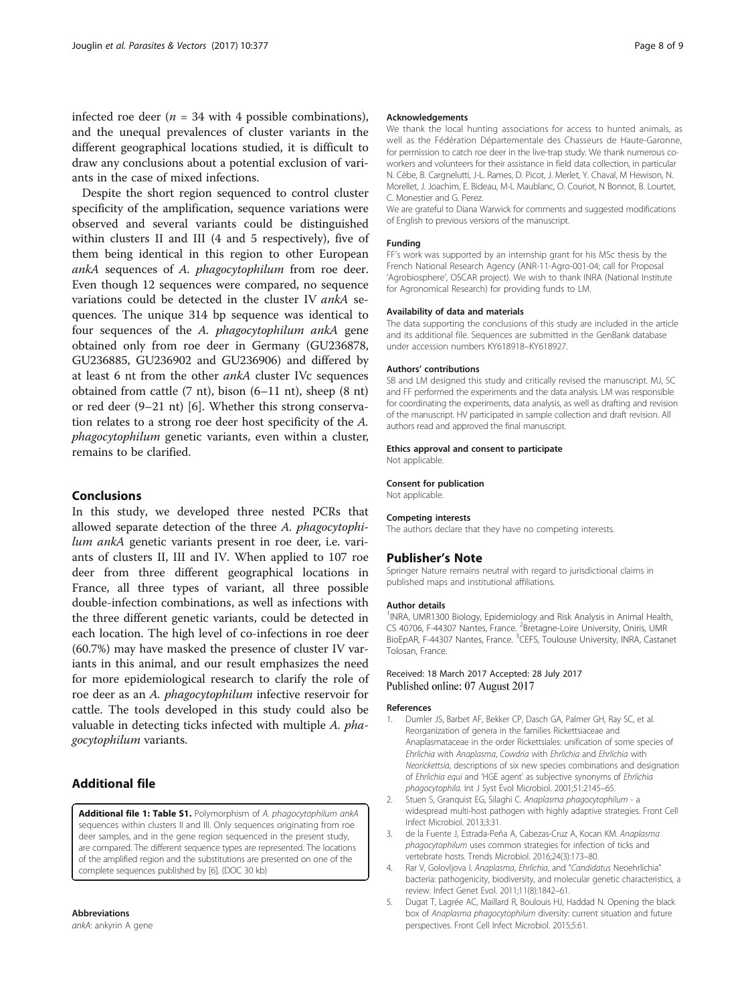<span id="page-7-0"></span>infected roe deer ( $n = 34$  with 4 possible combinations), and the unequal prevalences of cluster variants in the different geographical locations studied, it is difficult to draw any conclusions about a potential exclusion of variants in the case of mixed infections.

Despite the short region sequenced to control cluster specificity of the amplification, sequence variations were observed and several variants could be distinguished within clusters II and III (4 and 5 respectively), five of them being identical in this region to other European ankA sequences of A. phagocytophilum from roe deer. Even though 12 sequences were compared, no sequence variations could be detected in the cluster IV ankA sequences. The unique 314 bp sequence was identical to four sequences of the A. phagocytophilum ankA gene obtained only from roe deer in Germany (GU236878, GU236885, GU236902 and GU236906) and differed by at least 6 nt from the other ankA cluster IVc sequences obtained from cattle (7 nt), bison (6–11 nt), sheep (8 nt) or red deer (9–21 nt) [\[6](#page-8-0)]. Whether this strong conservation relates to a strong roe deer host specificity of the A. phagocytophilum genetic variants, even within a cluster, remains to be clarified.

## Conclusions

In this study, we developed three nested PCRs that allowed separate detection of the three A. phagocytophilum ankA genetic variants present in roe deer, i.e. variants of clusters II, III and IV. When applied to 107 roe deer from three different geographical locations in France, all three types of variant, all three possible double-infection combinations, as well as infections with the three different genetic variants, could be detected in each location. The high level of co-infections in roe deer (60.7%) may have masked the presence of cluster IV variants in this animal, and our result emphasizes the need for more epidemiological research to clarify the role of roe deer as an A. phagocytophilum infective reservoir for cattle. The tools developed in this study could also be valuable in detecting ticks infected with multiple A. phagocytophilum variants.

# Additional file

[Additional file 1: Table S1.](dx.doi.org/10.1186/s13071-017-2316-0) Polymorphism of A. phagocytophilum ankA sequences within clusters II and III. Only sequences originating from roe deer samples, and in the gene region sequenced in the present study, are compared. The different sequence types are represented. The locations of the amplified region and the substitutions are presented on one of the complete sequences published by [\[6\]](#page-8-0). (DOC 30 kb)

Abbreviations ankA: ankyrin A gene

#### Acknowledgements

We thank the local hunting associations for access to hunted animals, as well as the Fédération Départementale des Chasseurs de Haute-Garonne, for permission to catch roe deer in the live-trap study. We thank numerous coworkers and volunteers for their assistance in field data collection, in particular N. Cèbe, B. Cargnelutti, J-L. Rames, D. Picot, J. Merlet, Y. Chaval, M Hewison, N. Morellet, J. Joachim, E. Bideau, M-L Maublanc, O. Couriot, N Bonnot, B. Lourtet, C. Monestier and G. Perez.

We are grateful to Diana Warwick for comments and suggested modifications of English to previous versions of the manuscript.

### Funding

FF's work was supported by an internship grant for his MSc thesis by the French National Research Agency (ANR-11-Agro-001-04; call for Proposal 'Agrobiosphere', OSCAR project). We wish to thank INRA (National Institute for Agronomical Research) for providing funds to LM.

### Availability of data and materials

The data supporting the conclusions of this study are included in the article and its additional file. Sequences are submitted in the GenBank database under accession numbers KY618918–KY618927.

#### Authors' contributions

SB and LM designed this study and critically revised the manuscript. MJ, SC and FF performed the experiments and the data analysis. LM was responsible for coordinating the experiments, data analysis, as well as drafting and revision of the manuscript. HV participated in sample collection and draft revision. All authors read and approved the final manuscript.

#### Ethics approval and consent to participate

Not applicable.

Consent for publication Not applicable.

#### Competing interests

The authors declare that they have no competing interests.

#### Publisher's Note

Springer Nature remains neutral with regard to jurisdictional claims in published maps and institutional affiliations.

#### Author details

<sup>1</sup>INRA, UMR1300 Biology, Epidemiology and Risk Analysis in Animal Health CS 40706, F-44307 Nantes, France. <sup>2</sup>Bretagne-Loire University, Oniris, UMF BioEpAR, F-44307 Nantes, France. <sup>3</sup>CEFS, Toulouse University, INRA, Castanet Tolosan, France.

### Received: 18 March 2017 Accepted: 28 July 2017 Published online: 07 August 2017

#### References

- Dumler JS, Barbet AF, Bekker CP, Dasch GA, Palmer GH, Ray SC, et al. Reorganization of genera in the families Rickettsiaceae and Anaplasmataceae in the order Rickettsiales: unification of some species of Ehrlichia with Anaplasma, Cowdria with Ehrlichia and Ehrlichia with Neorickettsia, descriptions of six new species combinations and designation of Ehrlichia equi and 'HGE agent' as subjective synonyms of Ehrlichia phagocytophila. Int J Syst Evol Microbiol. 2001;51:2145–65.
- 2. Stuen S, Granquist EG, Silaghi C. Anaplasma phagocytophilum a widespread multi-host pathogen with highly adaptive strategies. Front Cell Infect Microbiol. 2013;3:31.
- 3. de la Fuente J, Estrada-Peña A, Cabezas-Cruz A, Kocan KM. Anaplasma phagocytophilum uses common strategies for infection of ticks and vertebrate hosts. Trends Microbiol. 2016;24(3):173–80.
- 4. Rar V, Golovljova I. Anaplasma, Ehrlichia, and "Candidatus Neoehrlichia" bacteria: pathogenicity, biodiversity, and molecular genetic characteristics, a review. Infect Genet Evol. 2011;11(8):1842–61.
- 5. Dugat T, Lagrée AC, Maillard R, Boulouis HJ, Haddad N. Opening the black box of Anaplasma phagocytophilum diversity: current situation and future perspectives. Front Cell Infect Microbiol. 2015;5:61.